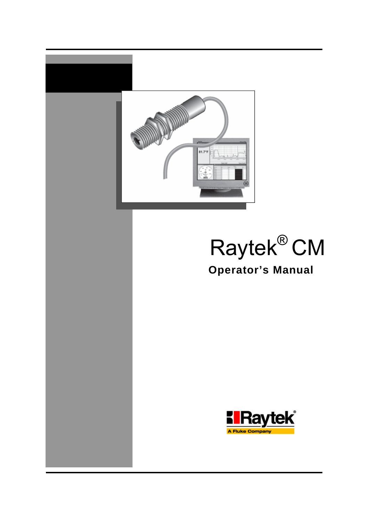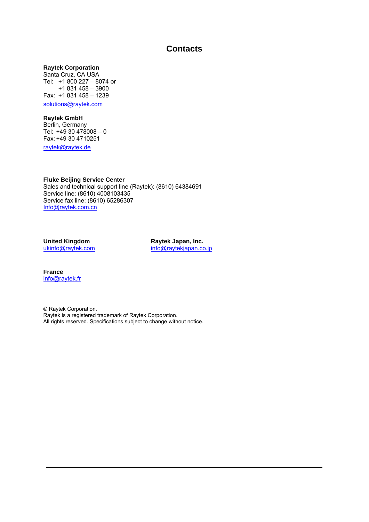### **Contacts**

#### **Raytek Corporation**

Santa Cruz, CA USA Tel: +1 800 227 – 8074 or +1 831 458 – 3900 Fax: +1 831 458 – 1239

solutions@raytek.com

#### **Raytek GmbH**

Berlin, Germany Tel:  $+4930478008 - 0$ Fax: +49 30 4710251

raytek@raytek.de

**Fluke Beijing Service Center**  Sales and technical support line (Raytek): (8610) 64384691 Service line: (8610) 4008103435 Service fax line: (8610) 65286307 Info@raytek.com.cn

**United Kingdom**  ukinfo@raytek.com

**Raytek Japan, Inc.**  info@raytekjapan.co.jp

**France**  info@raytek.fr

© Raytek Corporation. Raytek is a registered trademark of Raytek Corporation. All rights reserved. Specifications subject to change without notice.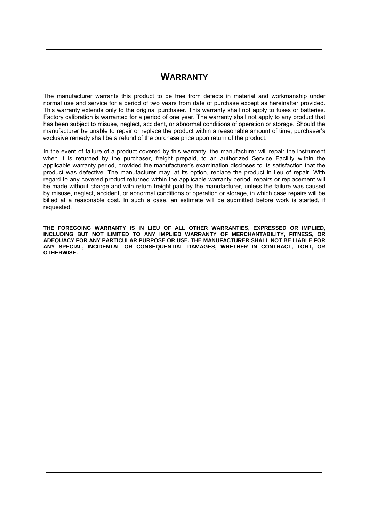## **WARRANTY**

The manufacturer warrants this product to be free from defects in material and workmanship under normal use and service for a period of two years from date of purchase except as hereinafter provided. This warranty extends only to the original purchaser. This warranty shall not apply to fuses or batteries. Factory calibration is warranted for a period of one year. The warranty shall not apply to any product that has been subject to misuse, neglect, accident, or abnormal conditions of operation or storage. Should the manufacturer be unable to repair or replace the product within a reasonable amount of time, purchaser's exclusive remedy shall be a refund of the purchase price upon return of the product.

In the event of failure of a product covered by this warranty, the manufacturer will repair the instrument when it is returned by the purchaser, freight prepaid, to an authorized Service Facility within the applicable warranty period, provided the manufacturer's examination discloses to its satisfaction that the product was defective. The manufacturer may, at its option, replace the product in lieu of repair. With regard to any covered product returned within the applicable warranty period, repairs or replacement will be made without charge and with return freight paid by the manufacturer, unless the failure was caused by misuse, neglect, accident, or abnormal conditions of operation or storage, in which case repairs will be billed at a reasonable cost. In such a case, an estimate will be submitted before work is started, if requested.

**THE FOREGOING WARRANTY IS IN LIEU OF ALL OTHER WARRANTIES, EXPRESSED OR IMPLIED, INCLUDING BUT NOT LIMITED TO ANY IMPLIED WARRANTY OF MERCHANTABILITY, FITNESS, OR ADEQUACY FOR ANY PARTICULAR PURPOSE OR USE. THE MANUFACTURER SHALL NOT BE LIABLE FOR ANY SPECIAL, INCIDENTAL OR CONSEQUENTIAL DAMAGES, WHETHER IN CONTRACT, TORT, OR OTHERWISE.**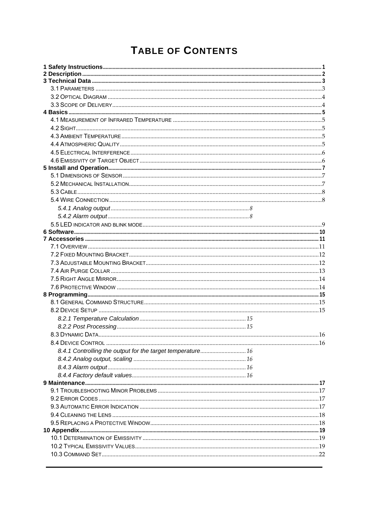# **TABLE OF CONTENTS**

| 8.4.1 Controlling the output for the target temperature 16 |  |
|------------------------------------------------------------|--|
|                                                            |  |
|                                                            |  |
|                                                            |  |
|                                                            |  |
|                                                            |  |
|                                                            |  |
|                                                            |  |
|                                                            |  |
|                                                            |  |
|                                                            |  |
|                                                            |  |
|                                                            |  |
|                                                            |  |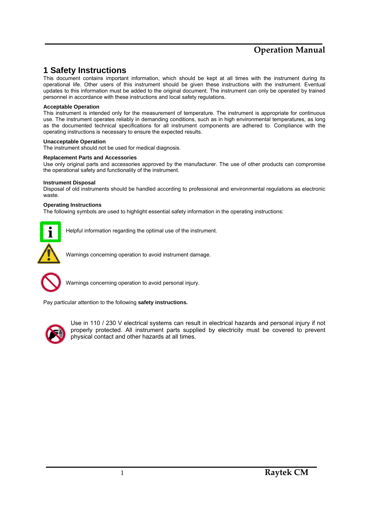### **1 Safety Instructions**

This document contains important information, which should be kept at all times with the instrument during its operational life. Other users of this instrument should be given these instructions with the instrument. Eventual updates to this information must be added to the original document. The instrument can only be operated by trained personnel in accordance with these instructions and local safety regulations.

#### **Acceptable Operation**

This instrument is intended only for the measurement of temperature. The instrument is appropriate for continuous use. The instrument operates reliably in demanding conditions, such as in high environmental temperatures, as long as the documented technical specifications for all instrument components are adhered to. Compliance with the operating instructions is necessary to ensure the expected results.

#### **Unacceptable Operation**

The instrument should not be used for medical diagnosis.

#### **Replacement Parts and Accessories**

Use only original parts and accessories approved by the manufacturer. The use of other products can compromise the operational safety and functionality of the instrument.

#### **Instrument Disposal**

Disposal of old instruments should be handled according to professional and environmental regulations as electronic waste.

#### **Operating Instructions**

The following symbols are used to highlight essential safety information in the operating instructions:



Helpful information regarding the optimal use of the instrument.

Warnings concerning operation to avoid instrument damage.



Warnings concerning operation to avoid personal injury.

Pay particular attention to the following **safety instructions.**



Use in 110 / 230 V electrical systems can result in electrical hazards and personal injury if not properly protected. All instrument parts supplied by electricity must be covered to prevent physical contact and other hazards at all times.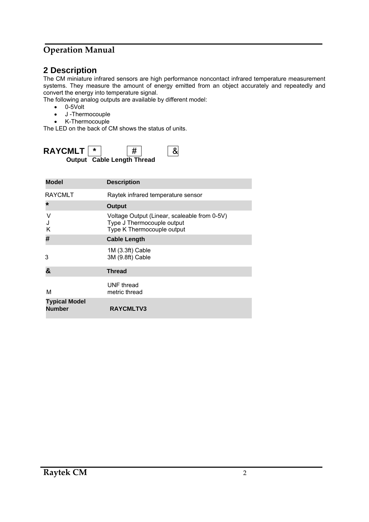## **2 Description**

The CM miniature infrared sensors are high performance noncontact infrared temperature measurement systems. They measure the amount of energy emitted from an object accurately and repeatedly and convert the energy into temperature signal.

The following analog outputs are available by different model:

- 0-5Volt
- J -Thermocouple
- K-Thermocouple

The LED on the back of CM shows the status of units.



| <b>Model</b>                          | <b>Description</b>                                                                                       |
|---------------------------------------|----------------------------------------------------------------------------------------------------------|
| <b>RAYCMLT</b>                        | Raytek infrared temperature sensor                                                                       |
| $\star$                               | <b>Output</b>                                                                                            |
| ٧<br>κ                                | Voltage Output (Linear, scaleable from 0-5V)<br>Type J Thermocouple output<br>Type K Thermocouple output |
| #                                     | <b>Cable Length</b>                                                                                      |
| 3                                     | 1M (3.3ft) Cable<br>3M (9.8ft) Cable                                                                     |
| &                                     | <b>Thread</b>                                                                                            |
| м                                     | UNF thread<br>metric thread                                                                              |
| <b>Typical Model</b><br><b>Number</b> | RAYCMLTV3                                                                                                |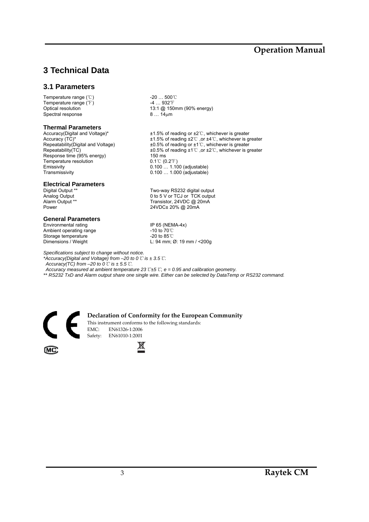# **3 Technical Data**

#### **3.1 Parameters**

Temperature range (℃)  $-20$  … 500℃<br>Temperature range (下)  $-4$  … 932°F Temperature range  $\binom{e}{f}$ <br>Optical resolution Spectral response 8 ... 14μm

# **Thermal Parameters**<br>Accuracy(Digital and Voltage)\*

Response time (95% energy) 150 ms Temperature resolution 0.1℃ (0.2 F)<br>Emissivity 0.100 ... 1.10 Emissivity 0.100 … 1.100 (adjustable)

# **Electrical Parameters**

#### **General Parameters**

Environmental rating IP 65 (NEMA-4x) Ambient operating range -10 to 70℃ Storage temperature <sup>1</sup><br>Dimensions / Weight 1.94 mm; t

13:1 @ 150mm (90% energy)

Accuracy(Digital and Voltage)\* ±1.5% of reading or ±2℃, whichever is greater Accuracy (TC)\* <br>Accuracy (TC)\*  $\pm 1.5\%$  of reading  $\pm 2^{\circ}$  , or  $\pm 4^{\circ}$ , whichever is greater<br>Repeatability(Digital and Voltage)  $\pm 0.5\%$  of reading or  $\pm 1^{\circ}$ , whichever is greater Repeatability(Digital and Voltage)  $\pm 0.5\%$  of reading or ±1℃, whichever is greater<br>Repeatability(TC)  $\pm 0.5\%$  of reading ±1℃, or ±2℃, whichever is gr ±0.5% of reading ±1℃ ,or ±2℃, whichever is greater 0.100 ... 1.000 (adjustable)

Digital Output \*\* Two-way RS232 digital output<br>Analog Output 1 0 to 5 V or TCJ or TCK output Analog Output 0 to 5 V or TCJ or TCK output<br>Alarm Output \*\* Transistor, 24VDC @ 20mA Alarm Output \*\* Transistor, 24VDC @ 20mA 24VDC± 20% @ 20mA

L: 94 mm; Ø: 19 mm / <200g

*Specifications subject to change without notice.* 

*\*Accuracy(Digital and Voltage) from –20 to 0*℃ *is ± 3.5*℃*.* 

*Accuracy(TC) from –20 to 0*℃ *is ± 5.5*℃*.* 

*Accuracy measured at ambient temperature 23*℃*±5*℃*, e = 0.95 and calibration geometry.* 

*\*\* RS232 TxD and Alarm output share one single wire. Either can be selected by DataTemp or RS232 command.* 



i.

**Declaration of Conformity for the European Community**

This instrument conforms to the following standards: EMC: EN61326‐1:2006 Safety: EN61010-1:2001

**MC** 

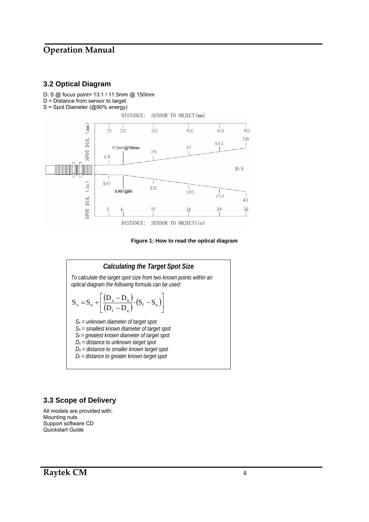#### **3.2 Optical Diagram**

- D: S @ focus point= 13:1 / 11.5mm @ 150mm
- $D =$  Distance from sensor to target
- S = Spot Diameter (@90% energy)



#### **Figure 1: How to read the optical diagram**



#### **3.3 Scope of Delivery**

All models are provided with: Mounting nuts Support software CD Quickstart Guide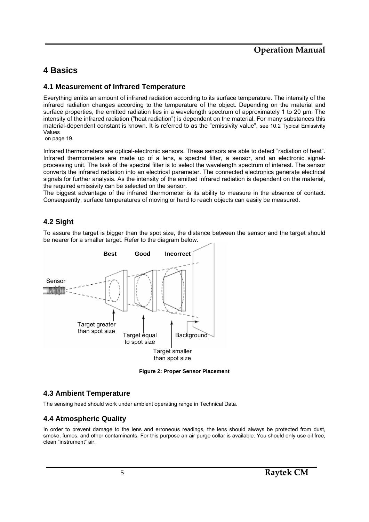### **4 Basics**

#### **4.1 Measurement of Infrared Temperature**

Everything emits an amount of infrared radiation according to its surface temperature. The intensity of the infrared radiation changes according to the temperature of the object. Depending on the material and surface properties, the emitted radiation lies in a wavelength spectrum of approximately 1 to 20 µm. The intensity of the infrared radiation ("heat radiation") is dependent on the material. For many substances this material-dependent constant is known. It is referred to as the "emissivity value", see 10.2 Typical Emissivity Values

on page 19.

Infrared thermometers are optical-electronic sensors. These sensors are able to detect "radiation of heat". Infrared thermometers are made up of a lens, a spectral filter, a sensor, and an electronic signalprocessing unit. The task of the spectral filter is to select the wavelength spectrum of interest. The sensor converts the infrared radiation into an electrical parameter. The connected electronics generate electrical signals for further analysis. As the intensity of the emitted infrared radiation is dependent on the material, the required emissivity can be selected on the sensor.

The biggest advantage of the infrared thermometer is its ability to measure in the absence of contact. Consequently, surface temperatures of moving or hard to reach objects can easily be measured.

#### **4.2 Sight**

To assure the target is bigger than the spot size, the distance between the sensor and the target should be nearer for a smaller target. Refer to the diagram below.



**Figure 2: Proper Sensor Placement** 

#### **4.3 Ambient Temperature**

The sensing head should work under ambient operating range in Technical Data.

#### **4.4 Atmospheric Quality**

In order to prevent damage to the lens and erroneous readings, the lens should always be protected from dust, smoke, fumes, and other contaminants. For this purpose an air purge collar is available. You should only use oil free, clean "instrument" air.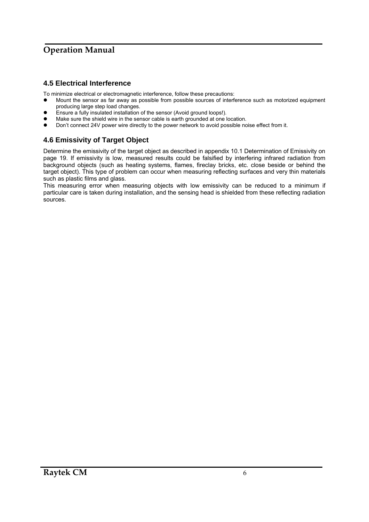### **4.5 Electrical Interference**

To minimize electrical or electromagnetic interference, follow these precautions:

- Mount the sensor as far away as possible from possible sources of interference such as motorized equipment producing large step load changes.
- Ensure a fully insulated installation of the sensor (Avoid ground loops!).<br>● Make sure the shield wire in the sensor cable is earth grounded at one i
- Make sure the shield wire in the sensor cable is earth grounded at one location.
- Don't connect 24V power wire directly to the power network to avoid possible noise effect from it.

### **4.6 Emissivity of Target Object**

Determine the emissivity of the target object as described in appendix 10.1 Determination of Emissivity on page 19. If emissivity is low, measured results could be falsified by interfering infrared radiation from background objects (such as heating systems, flames, fireclay bricks, etc. close beside or behind the target object). This type of problem can occur when measuring reflecting surfaces and very thin materials such as plastic films and glass.

This measuring error when measuring objects with low emissivity can be reduced to a minimum if particular care is taken during installation, and the sensing head is shielded from these reflecting radiation sources.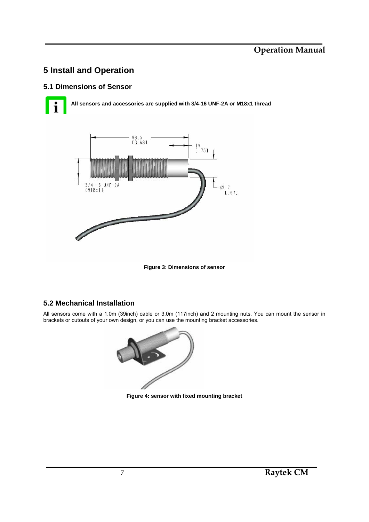## **5 Install and Operation**

### **5.1 Dimensions of Sensor**

**All sensors and accessories are supplied with 3/4-16 UNF-2A or M18x1 thread** 



**Figure 3: Dimensions of sensor** 

#### **5.2 Mechanical Installation**

All sensors come with a 1.0m (39inch) cable or 3.0m (117inch) and 2 mounting nuts. You can mount the sensor in brackets or cutouts of your own design, or you can use the mounting bracket accessories.



**Figure 4: sensor with fixed mounting bracket**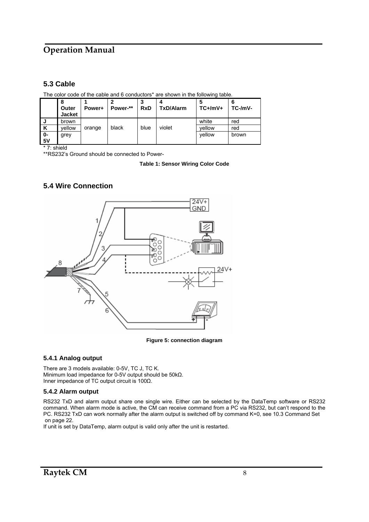### **5.3 Cable**

The color code of the cable and 6 conductors\* are shown in the following table.

|          | 8<br>Outer<br><b>Jacket</b> | Power+ | Power-** | <b>RxD</b> | TxD/Alarm | 5<br>$TC+/mV+$ | $TC-MV$ - |
|----------|-----------------------------|--------|----------|------------|-----------|----------------|-----------|
| J        | brown                       |        |          |            |           | white          | red       |
| K        | vellow                      | orange | black    | blue       | violet    | vellow         | red       |
| 0-<br>5V | grey                        |        |          |            |           | vellow         | brown     |

\* 7: shield

\*\*RS232's Ground should be connected to Power-

**Table 1: Sensor Wiring Color Code** 

#### **5.4 Wire Connection**



**Figure 5: connection diagram** 

#### **5.4.1 Analog output**

There are 3 models available: 0-5V, TC J, TC K. Minimum load impedance for 0-5V output should be 50kΩ. Inner impedance of TC output circuit is 100Ω.

#### **5.4.2 Alarm output**

RS232 TxD and alarm output share one single wire. Either can be selected by the DataTemp software or RS232 command. When alarm mode is active, the CM can receive command from a PC via RS232, but can't respond to the PC. RS232 TxD can work normally after the alarm output is switched off by command K=0, see 10.3 Command Set on page 22.

If unit is set by DataTemp, alarm output is valid only after the unit is restarted.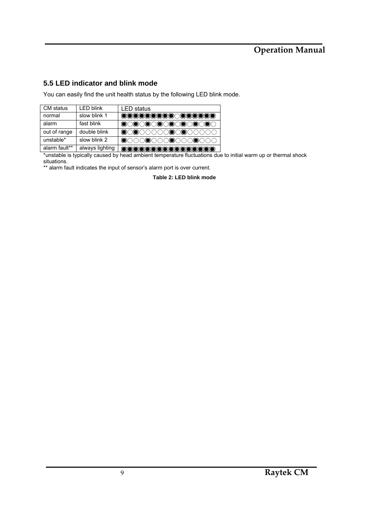### **5.5 LED indicator and blink mode**

You can easily find the unit health status by the following LED blink mode.

| CM status     | <b>LED blink</b> | <b>LED</b> status                                                                                                    |
|---------------|------------------|----------------------------------------------------------------------------------------------------------------------|
| normal        | slow blink 1     | <b>INCORRECTIONS OF A RELEASE OF A RELEASE OF A RELEASE OF A RELEASE OF A RELEASE OF A RELEASE OF A RELEASE OF A</b> |
| alarm         | fast blink       | ※○※○※○※○※○※○※○※○※○                                                                                                   |
| out of range  | double blink     | ☀○☀○○○○○☀○☀○○○○○○                                                                                                    |
| unstable*     | slow blink 2     | ※000※000※000※000                                                                                                     |
| alarm fault** | always lighting  | <b>KARA RAKA KARA KARA RAKA KARA KAR</b>                                                                             |

\*unstable is typically caused by head ambient temperature fluctuations due to initial warm up or thermal shock situations.

\*\* alarm fault indicates the input of sensor's alarm port is over current.

**Table 2: LED blink mode**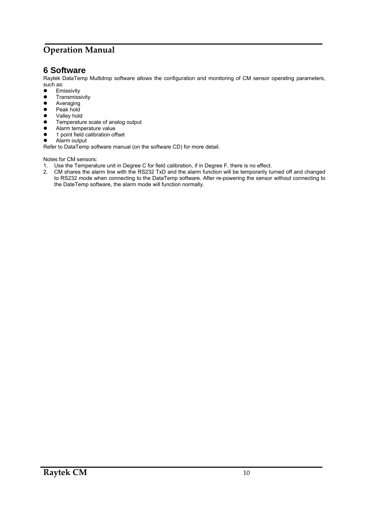### **6 Software**

Raytek DataTemp Multidrop software allows the configuration and monitoring of CM sensor operating parameters, such as:<br>• Fm

- Emissivity
- **•** Transmissivity<br>• Averaging
- Averaging
- Peak hold
- Valley hold<br>• Temperatur
- Temperature scale of analog output
- Alarm temperature value<br>• 1 point field calibration of
- 1 point field calibration offset

• Alarm output

Refer to DataTemp software manual (on the software CD) for more detail.

Notes for CM sensors:

- 1. Use the Temperature unit in Degree C for field calibration, if in Degree F, there is no effect.
- 2. CM shares the alarm line with the RS232 TxD and the alarm function will be temporarily turned off and changed to RS232 mode when connecting to the DataTemp software. After re-powering the sensor without connecting to the DateTemp software, the alarm mode will function normally.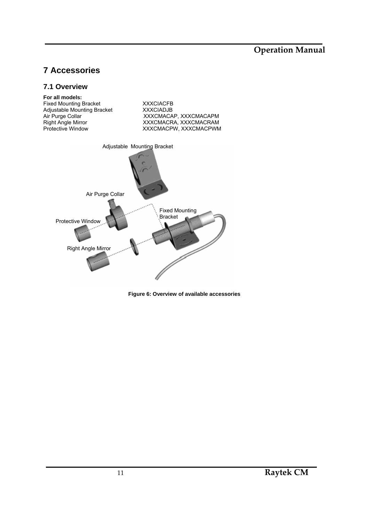# **7 Accessories**

#### **7.1 Overview**



Fixed Mounting Bracket **XXXCIACFB**<br>Adjustable Mounting Bracket **XXXCIADJB** Adjustable Mounting Bracket Air Purge Collar XXXCMACAP, XXXCMACAPM<br>
Right Angle Mirror XXXCMACRA, XXXCMACRAM Right Angle Mirror **XXXCMACRA, XXXCMACRAM** Protective Window XXXCMACPW, XXXCMACPWM Adjustable Mounting Bracket Air Purge Collar Protective Window Right Angle Mirror Fixed Mounting Bracket

**Figure 6: Overview of available accessories**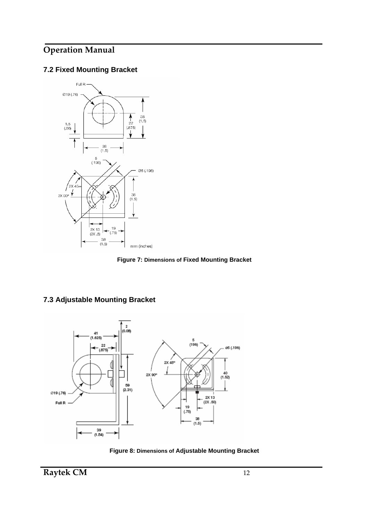### **7.2 Fixed Mounting Bracket**



**Figure 7: Dimensions of Fixed Mounting Bracket** 



### **7.3 Adjustable Mounting Bracket**

**Figure 8: Dimensions of Adjustable Mounting Bracket**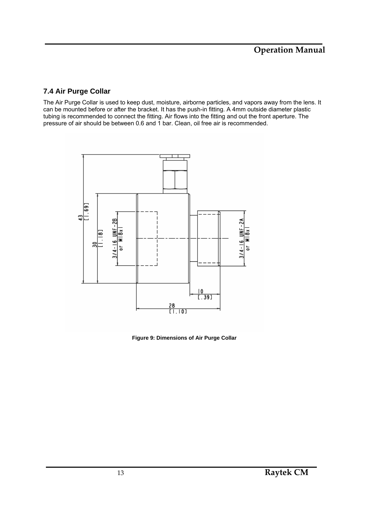### **7.4 Air Purge Collar**

The Air Purge Collar is used to keep dust, moisture, airborne particles, and vapors away from the lens. It can be mounted before or after the bracket. It has the push-in fitting. A 4mm outside diameter plastic tubing is recommended to connect the fitting. Air flows into the fitting and out the front aperture. The pressure of air should be between 0.6 and 1 bar. Clean, oil free air is recommended.



**Figure 9: Dimensions of Air Purge Collar**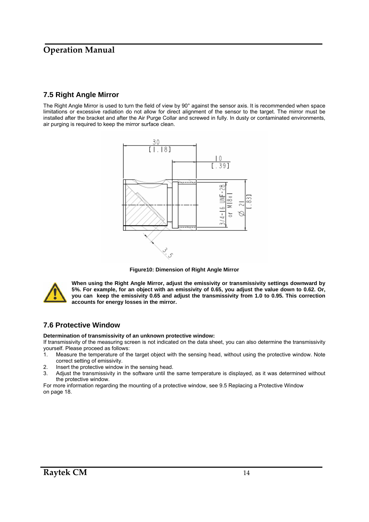### **7.5 Right Angle Mirror**

The Right Angle Mirror is used to turn the field of view by 90° against the sensor axis. It is recommended when space limitations or excessive radiation do not allow for direct alignment of the sensor to the target. The mirror must be installed after the bracket and after the Air Purge Collar and screwed in fully. In dusty or contaminated environments, air purging is required to keep the mirror surface clean.



**Figure10: Dimension of Right Angle Mirror** 



**When using the Right Angle Mirror, adjust the emissivity or transmissivity settings downward by 5%. For example, for an object with an emissivity of 0.65, you adjust the value down to 0.62. Or, you can keep the emissivity 0.65 and adjust the transmissivity from 1.0 to 0.95. This correction accounts for energy losses in the mirror.** 

#### **7.6 Protective Window**

**Determination of transmissivity of an unknown protective window:** 

If transmissivity of the measuring screen is not indicated on the data sheet, you can also determine the transmissivity yourself. Please proceed as follows:

- 1. Measure the temperature of the target object with the sensing head, without using the protective window. Note correct setting of emissivity.
- 2. Insert the protective window in the sensing head.
- 3. Adjust the transmissivity in the software until the same temperature is displayed, as it was determined without the protective window.

For more information regarding the mounting of a protective window, see 9.5 Replacing a Protective Window on page 18.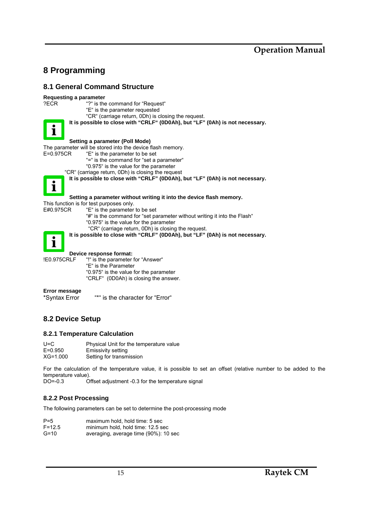## **8 Programming**

#### **8.1 General Command Structure**

# **Requesting a parameter**<br>**PECR** "?" is the



| ?ECR        | "?" is the command for "Request"<br>"E" is the parameter requested            |
|-------------|-------------------------------------------------------------------------------|
|             | "CR" (carriage return, 0Dh) is closing the request.                           |
|             | It is possible to close with "CRLF" (0D0Ah), but "LF" (0Ah) is not necessary. |
|             |                                                                               |
|             | Setting a parameter (Poll Mode)                                               |
|             | The parameter will be stored into the device flash memory.                    |
| E=0.975CR   | "E" is the parameter to be set                                                |
|             | "=" is the command for "set a parameter"                                      |
|             | "0.975" is the value for the parameter                                        |
|             | "CR" (carriage return, 0Dh) is closing the request                            |
|             | It is possible to close with "CRLF" (0D0Ah), but "LF" (0Ah) is not necessary. |
|             |                                                                               |
|             | Setting a parameter without writing it into the device flash memory.          |
|             | This function is for test purposes only.                                      |
| E#0.975CR   | "E" is the parameter to be set                                                |
|             | "#" is the command for "set parameter without writing it into the Flash"      |
|             | "0.975" is the value for the parameter                                        |
|             | "CR" (carriage return, 0Dh) is closing the request.                           |
|             | It is possible to close with "CRLF" (0D0Ah), but "LF" (0Ah) is not necessary. |
|             |                                                                               |
|             | Device response format:                                                       |
| !E0.975CRLF | "!" is the parameter for "Answer"                                             |
|             | "E" is the Parameter                                                          |
|             | "0.975" is the value for the parameter                                        |
|             | "CRLF" (0D0Ah) is closing the answer.                                         |
|             |                                                                               |
|             |                                                                               |

### **Error message**

\*Syntax Error "\*" is the character for "Error"

#### **8.2 Device Setup**

#### **8.2.1 Temperature Calculation**

| U=C          | Physical Unit for the temperature value |
|--------------|-----------------------------------------|
| $E = 0.950$  | Emissivity setting                      |
| $XG = 1.000$ | Setting for transmission                |

For the calculation of the temperature value, it is possible to set an offset (relative number to be added to the temperature value).<br>DO=-0.3 O

Offset adjustment -0.3 for the temperature signal

#### **8.2.2 Post Processing**

The following parameters can be set to determine the post-processing mode

| $P=5$         | maximum hold, hold time: 5 sec     |  |  |
|---------------|------------------------------------|--|--|
| $F = 12.5$    | minimum hold, hold time: 12.5 sec  |  |  |
| $\sim$ $\sim$ | $\sim$ $\sim$ $\sim$ $\sim$ $\sim$ |  |  |

G=10 averaging, average time (90%): 10 sec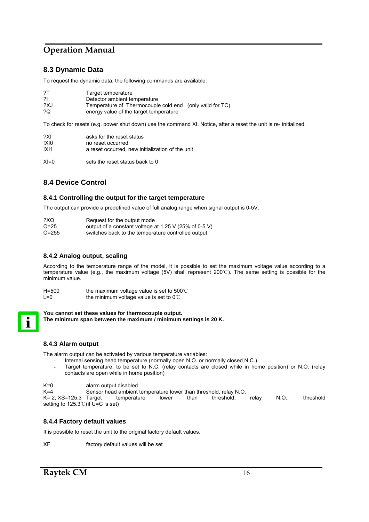### **8.3 Dynamic Data**

To request the dynamic data, the following commands are available:

| ?Τ  | Target temperature                                       |
|-----|----------------------------------------------------------|
| 21  | Detector ambient temperature                             |
| ?XJ | Temperature of Thermocouple cold end (only valid for TC) |
| ?0  | energy value of the target temperature                   |

To check for resets (e.g. power shut down) use the command XI. Notice, after a reset the unit is re- initialized.

| ?XI  | asks for the reset status                        |
|------|--------------------------------------------------|
| !XIO | no reset occurred                                |
| !XI1 | a reset occurred, new initialization of the unit |
|      |                                                  |

XI=0 sets the reset status back to 0

### **8.4 Device Control**

#### **8.4.1 Controlling the output for the target temperature**

The output can provide a predefined value of full analog range when signal output is 0-5V.

| ?XO     | Request for the output mode                           |
|---------|-------------------------------------------------------|
| $O=25$  | output of a constant voltage at 1.25 V (25% of 0-5 V) |
| $O=255$ | switches back to the temperature controlled output    |

#### **8.4.2 Analog output, scaling**

According to the temperature range of the model, it is possible to set the maximum voltage value according to a temperature value (e.g., the maximum voltage (5V) shall represent 200℃). The same setting is possible for the minimum value.

| $H=500$ | the maximum voltage value is set to $500^{\circ}$ |
|---------|---------------------------------------------------|
| $L=0$   | the minimum voltage value is set to $0^{\circ}$   |

**You cannot set these values for thermocouple output. The minimum span between the maximum / minimum settings is 20 K.** 

#### **8.4.3 Alarm output**

The alarm output can be activated by various temperature variables:

- Internal sensing head temperature (normally open N.O. or normally closed N.C.)
- Target temperature, to be set to N.C. (relay contacts are closed while in home position) or N.O. (relay contacts are open while in home position)

K=0 alarm output disabled

K=4 Sensor head ambient temperature lower than threshold, relay N.O.

K= 2, XS=125.3 Target temperature lower than threshold, relay N.O., threshold setting to 125.3℃(if U=C is set)

#### **8.4.4 Factory default values**

It is possible to reset the unit to the original factory default values.

XF factory default values will be set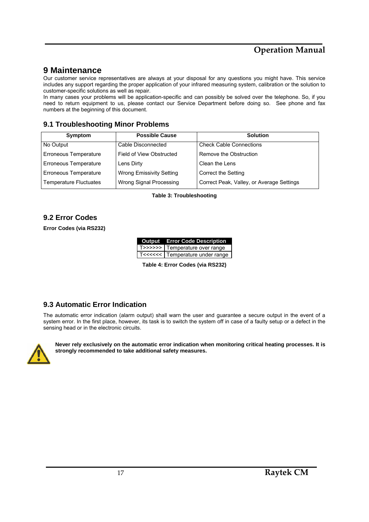### **9 Maintenance**

Our customer service representatives are always at your disposal for any questions you might have. This service includes any support regarding the proper application of your infrared measuring system, calibration or the solution to customer-specific solutions as well as repair.

In many cases your problems will be application-specific and can possibly be solved over the telephone. So, if you need to return equipment to us, please contact our Service Department before doing so. See phone and fax numbers at the beginning of this document.

### **9.1 Troubleshooting Minor Problems**

| Symptom                       | <b>Possible Cause</b>           | <b>Solution</b>                           |
|-------------------------------|---------------------------------|-------------------------------------------|
| No Output                     | Cable Disconnected              | <b>Check Cable Connections</b>            |
| Erroneous Temperature         | Field of View Obstructed        | Remove the Obstruction                    |
| Erroneous Temperature         | Lens Dirty                      | Clean the Lens                            |
| Erroneous Temperature         | <b>Wrong Emissivity Setting</b> | Correct the Setting                       |
| <b>Temperature Fluctuates</b> | Wrong Signal Processing         | Correct Peak, Valley, or Average Settings |

**Table 3: Troubleshooting** 

### **9.2 Error Codes**

**Error Codes (via RS232)** 

| <b>Output</b> Error Code Description |
|--------------------------------------|
| T>>>>>>   Temperature over range     |
| T<<<<<<   Temperature under range    |

**Table 4: Error Codes (via RS232)** 

#### **9.3 Automatic Error Indication**

The automatic error indication (alarm output) shall warn the user and guarantee a secure output in the event of a system error. In the first place, however, its task is to switch the system off in case of a faulty setup or a defect in the sensing head or in the electronic circuits.



**Never rely exclusively on the automatic error indication when monitoring critical heating processes. It is strongly recommended to take additional safety measures.**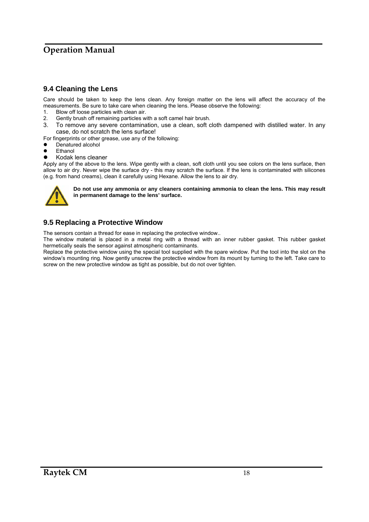### **9.4 Cleaning the Lens**

Care should be taken to keep the lens clean. Any foreign matter on the lens will affect the accuracy of the measurements. Be sure to take care when cleaning the lens. Please observe the following:

- 1. Blow off loose particles with clean air.
- 2. Gently brush off remaining particles with a soft camel hair brush.
- 3. To remove any severe contamination, use a clean, soft cloth dampened with distilled water. In any case, do not scratch the lens surface!
- For fingerprints or other grease, use any of the following:
- Denatured alcohol
- **Ethanol**
- Kodak lens cleaner

Apply any of the above to the lens. Wipe gently with a clean, soft cloth until you see colors on the lens surface, then allow to air dry. Never wipe the surface dry - this may scratch the surface. If the lens is contaminated with silicones (e.g. from hand creams), clean it carefully using Hexane. Allow the lens to air dry.



**Do not use any ammonia or any cleaners containing ammonia to clean the lens. This may result in permanent damage to the lens' surface.** 

### **9.5 Replacing a Protective Window**

The sensors contain a thread for ease in replacing the protective window..

The window material is placed in a metal ring with a thread with an inner rubber gasket. This rubber gasket hermetically seals the sensor against atmospheric contaminants.

Replace the protective window using the special tool supplied with the spare window. Put the tool into the slot on the window's mounting ring. Now gently unscrew the protective window from its mount by turning to the left. Take care to screw on the new protective window as tight as possible, but do not over tighten.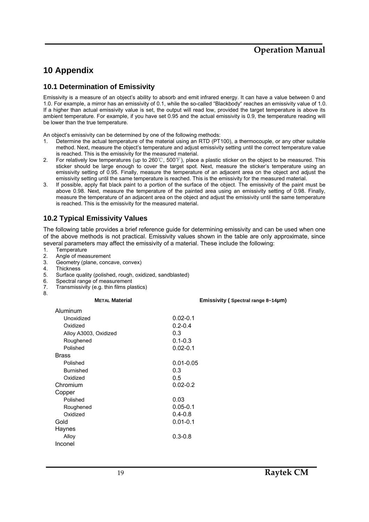## **10 Appendix**

#### **10.1 Determination of Emissivity**

Emissivity is a measure of an object's ability to absorb and emit infrared energy. It can have a value between 0 and 1.0. For example, a mirror has an emissivity of 0.1, while the so-called "Blackbody" reaches an emissivity value of 1.0. If a higher than actual emissivity value is set, the output will read low, provided the target temperature is above its ambient temperature. For example, if you have set 0.95 and the actual emissivity is 0.9, the temperature reading will be lower than the true temperature.

An object's emissivity can be determined by one of the following methods:

- 1. Determine the actual temperature of the material using an RTD (PT100), a thermocouple, or any other suitable method. Next, measure the object's temperature and adjust emissivity setting until the correct temperature value is reached. This is the emissivity for the measured material.
- 2. For relatively low temperatures (up to 260℃, 500℉), place a plastic sticker on the object to be measured. This sticker should be large enough to cover the target spot. Next, measure the sticker's temperature using an emissivity setting of 0.95. Finally, measure the temperature of an adjacent area on the object and adjust the emissivity setting until the same temperature is reached. This is the emissivity for the measured material.
- 3. If possible, apply flat black paint to a portion of the surface of the object. The emissivity of the paint must be above 0.98. Next, measure the temperature of the painted area using an emissivity setting of 0.98. Finally, measure the temperature of an adjacent area on the object and adjust the emissivity until the same temperature is reached. This is the emissivity for the measured material.

### **10.2 Typical Emissivity Values**

The following table provides a brief reference guide for determining emissivity and can be used when one of the above methods is not practical. Emissivity values shown in the table are only approximate, since several parameters may affect the emissivity of a material. These include the following:

- 1. Temperature
- 2. Angle of measurement
- 3. Geometry (plane, concave, convex)
- 4. Thickness

Brass

- 5. Surface quality (polished, rough, oxidized, sandblasted)
- 6. Spectral range of measurement
- 7. Transmissivity (e.g. thin films plastics)
- 8.

| Aluminum              |              |
|-----------------------|--------------|
| Unoxidized            | $0.02 - 0.1$ |
| Oxidized              | $0.2 - 0.4$  |
| Alloy A3003, Oxidized | 0.3          |
| Roughened             | $0.1 - 0.3$  |
| Polished              | $0.02 - 0.1$ |

 **METAL Material Emissivity ( Spectral range 8~14µm)** 

| ี ⊶              |               |
|------------------|---------------|
| Polished         | $0.01 - 0.05$ |
| <b>Burnished</b> | 0.3           |
| Oxidized         | 0.5           |
| Chromium         | $0.02 - 0.2$  |
| Copper           |               |
| Polished         | 0.03          |
| Roughened        | $0.05 - 0.1$  |
| Oxidized         | $0.4 - 0.8$   |
| Gold             | $0.01 - 0.1$  |
| Haynes           |               |
| Alloy            | $0.3 - 0.8$   |
| Inconel          |               |
|                  |               |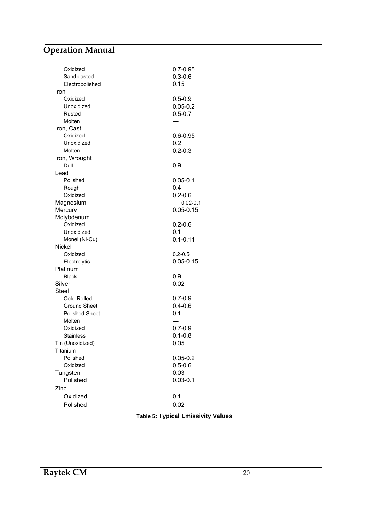| Oxidized<br>Sandblasted | $0.7 - 0.95$<br>$0.3 - 0.6$ |
|-------------------------|-----------------------------|
| Electropolished         | 0.15                        |
| Iron                    |                             |
| Oxidized                | $0.5 - 0.9$                 |
| Unoxidized              | $0.05 - 0.2$                |
| Rusted                  | $0.5 - 0.7$                 |
| Molten                  |                             |
| Iron, Cast              |                             |
| Oxidized                | $0.6 - 0.95$                |
| Unoxidized              | 0.2                         |
| Molten                  | $0.2 - 0.3$                 |
| Iron, Wrought           |                             |
| Dull                    | 0.9                         |
| Lead                    |                             |
| Polished                | $0.05 - 0.1$                |
| Rough                   | 0.4                         |
| Oxidized                | $0.2 - 0.6$                 |
| Magnesium               | $0.02 - 0.1$                |
| Mercury                 | $0.05 - 0.15$               |
| Molybdenum              |                             |
| Oxidized                | $0.2 - 0.6$                 |
| Unoxidized              | 0.1                         |
| Monel (Ni-Cu)<br>Nickel | $0.1 - 0.14$                |
| Oxidized                | $0.2 - 0.5$                 |
| Electrolytic            | $0.05 - 0.15$               |
| Platinum                |                             |
| <b>Black</b>            | 0.9                         |
| Silver                  | 0.02                        |
| <b>Steel</b>            |                             |
| Cold-Rolled             | $0.7 - 0.9$                 |
| <b>Ground Sheet</b>     | $0.4 - 0.6$                 |
| <b>Polished Sheet</b>   | 0.1                         |
| Molten                  |                             |
| Oxidized                | $0.7 - 0.9$                 |
| <b>Stainless</b>        | $0.1 - 0.8$                 |
| Tin (Unoxidized)        | 0.05                        |
| Titanium                |                             |
| Polished                | $0.05 - 0.2$                |
| Oxidized                | $0.5 - 0.6$                 |
| Tungsten                | 0.03                        |
| Polished                | $0.03 - 0.1$                |
| Zinc                    |                             |
| Oxidized                | 0.1                         |
| Polished                | 0.02                        |
|                         |                             |

**Table 5: Typical Emissivity Values**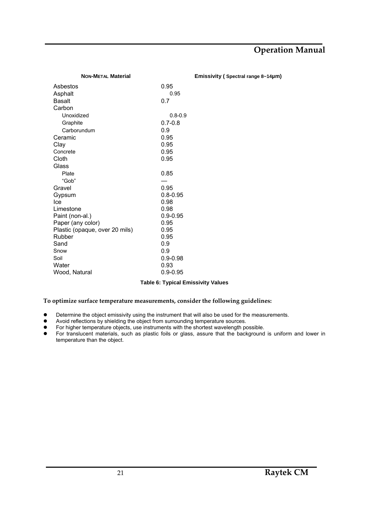| <b>NON-METAL Material</b>      | Emissivity (Spectral range 8~14µm) |  |
|--------------------------------|------------------------------------|--|
| Asbestos                       | 0.95                               |  |
| Asphalt                        | 0.95                               |  |
| <b>Basalt</b>                  | 0.7                                |  |
| Carbon                         |                                    |  |
| Unoxidized                     | $0.8 - 0.9$                        |  |
| Graphite                       | $0.7 - 0.8$                        |  |
| Carborundum                    | 0.9                                |  |
| Ceramic                        | 0.95                               |  |
| Clay                           | 0.95                               |  |
| Concrete                       | 0.95                               |  |
| Cloth                          | 0.95                               |  |
| Glass                          |                                    |  |
| Plate                          | 0.85                               |  |
| "Gob"                          |                                    |  |
| Gravel                         | 0.95                               |  |
| Gypsum                         | $0.8 - 0.95$                       |  |
| Ice                            | 0.98                               |  |
| Limestone                      | 0.98                               |  |
| Paint (non-al.)                | $0.9 - 0.95$                       |  |
| Paper (any color)              | 0.95                               |  |
| Plastic (opaque, over 20 mils) | 0.95                               |  |
| Rubber                         | 0.95                               |  |
| Sand                           | 0.9                                |  |
| Snow                           | 0.9                                |  |
| Soil                           | $0.9 - 0.98$                       |  |
| Water                          | 0.93                               |  |
| Wood, Natural                  | $0.9 - 0.95$                       |  |

#### **Table 6: Typical Emissivity Values**

#### **To optimize surface temperature measurements, consider the following guidelines:**

- Determine the object emissivity using the instrument that will also be used for the measurements.
- Avoid reflections by shielding the object from surrounding temperature sources.
- For higher temperature objects, use instruments with the shortest wavelength possible.
- For translucent materials, such as plastic foils or glass, assure that the background is uniform and lower in temperature than the object.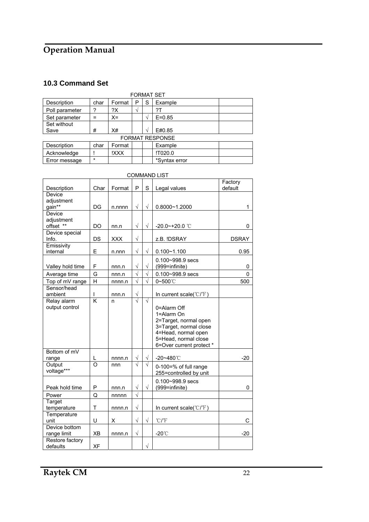### **10.3 Command Set**

| <b>FORMAT SET</b>      |         |        |   |   |               |  |  |
|------------------------|---------|--------|---|---|---------------|--|--|
| Description            | char    | Format | P | S | Example       |  |  |
| Poll parameter         | ?       | ?X     |   |   | ?T            |  |  |
| Set parameter          | =       | $X =$  |   |   | $E = 0.85$    |  |  |
| Set without            |         |        |   |   |               |  |  |
| Save                   | #       | X#     |   |   | E#0.85        |  |  |
| <b>FORMAT RESPONSE</b> |         |        |   |   |               |  |  |
| Description            | char    | Format |   |   | Example       |  |  |
| Acknowledge            |         | !XXX   |   |   | !T020.0       |  |  |
| Error message          | $\star$ |        |   |   | *Syntax error |  |  |

| <b>COMMAND LIST</b>               |                         |            |                       |           |                                                                                                                                                         |                    |  |  |
|-----------------------------------|-------------------------|------------|-----------------------|-----------|---------------------------------------------------------------------------------------------------------------------------------------------------------|--------------------|--|--|
| Description                       | Char                    | Format     | P                     | S         | Legal values                                                                                                                                            | Factory<br>default |  |  |
| Device<br>adjustment<br>gain**    | DG                      | n.nnnn     | $\sqrt{}$             | $\sqrt{}$ | 0.8000~1.2000                                                                                                                                           | 1                  |  |  |
| Device<br>adjustment<br>offset ** | DO                      | nn.n       | $\sqrt{}$             | $\sqrt{}$ | $-20.0$ ~+20.0 ℃                                                                                                                                        | 0                  |  |  |
| Device special<br>Info.           | DS                      | <b>XXX</b> | $\sqrt{ }$            |           | z.B. IDSRAY                                                                                                                                             | <b>DSRAY</b>       |  |  |
| Emissivity<br>internal            | E                       | n.nnn      | $\sqrt{}$             | $\sqrt{}$ | $0.100 - 1.100$                                                                                                                                         | 0.95               |  |  |
| Valley hold time                  | F                       | nnn.n      | $\sqrt{}$             | $\sqrt{}$ | $0.100 - 998.9$ secs<br>(999=infinite)                                                                                                                  | 0                  |  |  |
| Average time                      | G                       | nnn.n      | $\sqrt{}$             | $\sqrt{}$ | 0.100~998.9 secs                                                                                                                                        | 0                  |  |  |
| Top of mV range                   | H                       | nnnn.n     | $\sqrt{}$             | $\sqrt{}$ | 0~500°C                                                                                                                                                 | 500                |  |  |
| Sensor/head<br>ambient            | L                       | nnn.n      | $\sqrt{}$             |           | In current scale(°C/°F)                                                                                                                                 |                    |  |  |
| Relay alarm<br>output control     | $\overline{\mathsf{K}}$ | n          | $\overline{\sqrt{2}}$ | $\sqrt{}$ | 0=Alarm Off<br>1=Alarm On<br>2=Target, normal open<br>3=Target, normal close<br>4=Head, normal open<br>5=Head, normal close<br>6=Over current protect * |                    |  |  |
| Bottom of mV<br>range             | L                       | nnnn.n     | $\sqrt{}$             | $\sqrt{}$ | -20~480℃                                                                                                                                                | $-20$              |  |  |
| Output<br>voltage***              | $\overline{O}$          | nnn        | $\sqrt{}$             | $\sqrt{}$ | 0-100=% of full range<br>255=controlled by unit                                                                                                         |                    |  |  |
| Peak hold time                    | P                       | nnn.n      | $\sqrt{}$             | $\sqrt{}$ | $0.100 - 998.9$ secs<br>(999=infinite)                                                                                                                  | 0                  |  |  |
| Power                             | Q                       | nnnnn      | $\sqrt{2}$            |           |                                                                                                                                                         |                    |  |  |
| Target<br>temperature             | T                       | nnnn.n     | $\sqrt{}$             |           | In current scale(°C/°F)                                                                                                                                 |                    |  |  |
| Temperature<br>unit               | U                       | X          | $\sqrt{}$             | $\sqrt{}$ | $°C$ / $F$                                                                                                                                              | С                  |  |  |
| Device bottom<br>range limit      | XB                      | nnnn.n     | $\sqrt{}$             |           | $-20^{\circ}$                                                                                                                                           | $-20$              |  |  |
| Restore factory<br>defaults       | XF                      |            |                       | $\sqrt{}$ |                                                                                                                                                         |                    |  |  |